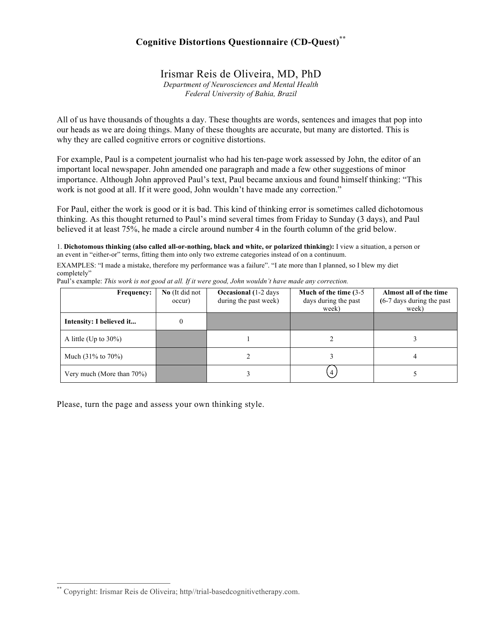## **Cognitive Distortions Questionnaire (CD-Quest) \*\***

Irismar Reis de Oliveira, MD, PhD

*Department of Neurosciences and Mental Health Federal University of Bahia, Brazil*

All of us have thousands of thoughts a day. These thoughts are words, sentences and images that pop into our heads as we are doing things. Many of these thoughts are accurate, but many are distorted. This is why they are called cognitive errors or cognitive distortions.

For example, Paul is a competent journalist who had his ten-page work assessed by John, the editor of an important local newspaper. John amended one paragraph and made a few other suggestions of minor importance. Although John approved Paul's text, Paul became anxious and found himself thinking: "This work is not good at all. If it were good, John wouldn't have made any correction."

For Paul, either the work is good or it is bad. This kind of thinking error is sometimes called dichotomous thinking. As this thought returned to Paul's mind several times from Friday to Sunday (3 days), and Paul believed it at least 75%, he made a circle around number 4 in the fourth column of the grid below.

1. **Dichotomous thinking (also called all-or-nothing, black and white, or polarized thinking):** I view a situation, a person or an event in "either-or" terms, fitting them into only two extreme categories instead of on a continuum.

EXAMPLES: "I made a mistake, therefore my performance was a failure". "I ate more than I planned, so I blew my diet completely"

| <b>Frequency:</b>              | No (It did not<br>occur) | <b>Occasional</b> (1-2 days)<br>during the past week) | Much of the time (3-5)<br>days during the past<br>week) | Almost all of the time<br>(6-7 days during the past<br>week) |
|--------------------------------|--------------------------|-------------------------------------------------------|---------------------------------------------------------|--------------------------------------------------------------|
| Intensity: I believed it       |                          |                                                       |                                                         |                                                              |
| A little (Up to $30\%$ )       |                          |                                                       |                                                         |                                                              |
| Much $(31\% \text{ to } 70\%)$ |                          |                                                       |                                                         |                                                              |
| Very much (More than $70\%$ )  |                          |                                                       |                                                         |                                                              |

Paul's example: *This work is not good at all. If it were good, John wouldn't have made any correction.*

Please, turn the page and assess your own thinking style.

 \*\* Copyright: Irismar Reis de Oliveira; http//trial-basedcognitivetherapy.com.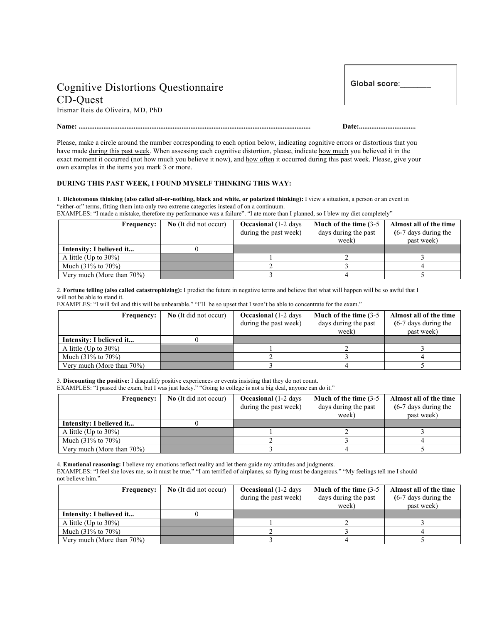## Cognitive Distortions Questionnaire CD-Quest

Irismar Reis de Oliveira, MD, PhD

**Global score**:\_\_\_\_\_\_\_

## **Name: ................................................................................................................................... Date:................................**

Please, make a circle around the number corresponding to each option below, indicating cognitive errors or distortions that you have made during this past week. When assessing each cognitive distortion, please, indicate how much you believed it in the exact moment it occurred (not how much you believe it now), and how often it occurred during this past week. Please, give your own examples in the items you mark 3 or more.

## **DURING THIS PAST WEEK, I FOUND MYSELF THINKING THIS WAY:**

1. **Dichotomous thinking (also called all-or-nothing, black and white, or polarized thinking):** I view a situation, a person or an event in "either-or" terms, fitting them into only two extreme categories instead of on a continuum.

EXAMPLES: "I made a mistake, therefore my performance was a failure". "I ate more than I planned, so I blew my diet completely"

| <b>Frequency:</b>              | <b>No</b> (It did not occur) | <b>Occasional</b> (1-2 days) | Much of the time $(3-5)$ | Almost all of the time  |
|--------------------------------|------------------------------|------------------------------|--------------------------|-------------------------|
|                                |                              | during the past week)        | days during the past     | $(6-7)$ days during the |
|                                |                              |                              | week)                    | past week)              |
| Intensity: I believed it       |                              |                              |                          |                         |
| A little (Up to $30\%$ )       |                              |                              |                          |                         |
| Much $(31\% \text{ to } 70\%)$ |                              |                              |                          |                         |
| Very much (More than $70\%$ )  |                              |                              |                          |                         |

2. **Fortune telling (also called catastrophizing):** I predict the future in negative terms and believe that what will happen will be so awful that I will not be able to stand it.

EXAMPLES: "I will fail and this will be unbearable." "I'll be so upset that I won't be able to concentrate for the exam."

| <b>Frequency:</b>              | <b>No</b> (It did not occur) | <b>Occasional</b> (1-2 days)<br>during the past week) | Much of the time $(3-5)$<br>days during the past<br>week) | Almost all of the time<br>$(6-7)$ days during the<br>past week) |
|--------------------------------|------------------------------|-------------------------------------------------------|-----------------------------------------------------------|-----------------------------------------------------------------|
| Intensity: I believed it       |                              |                                                       |                                                           |                                                                 |
| A little (Up to $30\%$ )       |                              |                                                       |                                                           |                                                                 |
| Much $(31\% \text{ to } 70\%)$ |                              |                                                       |                                                           |                                                                 |
| Very much (More than $70\%$ )  |                              |                                                       |                                                           |                                                                 |

3. **Discounting the positive:** I disqualify positive experiences or events insisting that they do not count. EXAMPLES: "I passed the exam, but I was just lucky." "Going to college is not a big deal, anyone can do it."

| <b>Frequency:</b>              | <b>No</b> (It did not occur) | <b>Occasional</b> (1-2 days<br>during the past week) | Much of the time $(3-5)$<br>days during the past<br>week) | Almost all of the time<br>$(6-7)$ days during the<br>past week) |
|--------------------------------|------------------------------|------------------------------------------------------|-----------------------------------------------------------|-----------------------------------------------------------------|
| Intensity: I believed it       |                              |                                                      |                                                           |                                                                 |
| A little (Up to $30\%$ )       |                              |                                                      |                                                           |                                                                 |
| Much $(31\% \text{ to } 70\%)$ |                              |                                                      |                                                           |                                                                 |
| Very much (More than $70\%$ )  |                              |                                                      |                                                           |                                                                 |

4. **Emotional reasoning:** I believe my emotions reflect reality and let them guide my attitudes and judgments. EXAMPLES: "I feel she loves me, so it must be true." "I am terrified of airplanes, so flying must be dangerous." "My feelings tell me I should not believe him."

| <b>Frequency:</b>              | <b>No</b> (It did not occur) | <b>Occasional</b> (1-2 days)<br>during the past week) | Much of the time (3-5)<br>days during the past<br>week) | Almost all of the time<br>$(6-7)$ days during the<br>past week) |
|--------------------------------|------------------------------|-------------------------------------------------------|---------------------------------------------------------|-----------------------------------------------------------------|
| Intensity: I believed it       |                              |                                                       |                                                         |                                                                 |
| A little (Up to $30\%$ )       |                              |                                                       |                                                         |                                                                 |
| Much $(31\% \text{ to } 70\%)$ |                              |                                                       |                                                         |                                                                 |
| Very much (More than 70%)      |                              |                                                       |                                                         |                                                                 |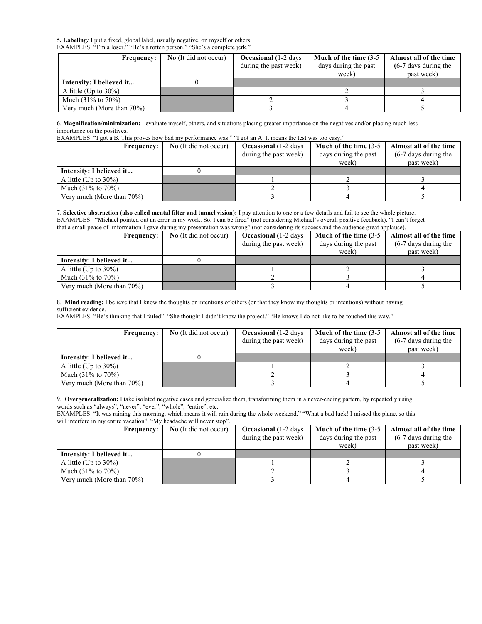5**. Labeling***:* I put a fixed, global label, usually negative, on myself or others. EXAMPLES: "I'm a loser." "He's a rotten person." "She's a complete jerk."

| Frequency:                     | <b>No</b> (It did not occur) | <b>Occasional</b> (1-2 days) | Much of the time (3-5 | Almost all of the time  |
|--------------------------------|------------------------------|------------------------------|-----------------------|-------------------------|
|                                |                              | during the past week)        | days during the past  | $(6-7)$ days during the |
|                                |                              |                              | week)                 | past week)              |
| Intensity: I believed it       |                              |                              |                       |                         |
| A little (Up to $30\%$ )       |                              |                              |                       |                         |
| Much $(31\% \text{ to } 70\%)$ |                              |                              |                       |                         |
| Very much (More than $70\%$ )  |                              |                              |                       |                         |

6. **Magnification/minimization:** I evaluate myself, others, and situations placing greater importance on the negatives and/or placing much less importance on the positives.

EXAMPLES: "I got a B. This proves how bad my performance was." "I got an A. It means the test was too easy."

| <b>Frequency:</b>              | No (It did not occur) | <b>Occasional</b> (1-2 days | Much of the time $(3-5)$ | Almost all of the time  |
|--------------------------------|-----------------------|-----------------------------|--------------------------|-------------------------|
|                                |                       | during the past week)       | days during the past     | $(6-7)$ days during the |
|                                |                       |                             | week)                    | past week)              |
| Intensity: I believed it       |                       |                             |                          |                         |
| A little (Up to $30\%$ )       |                       |                             |                          |                         |
| Much $(31\% \text{ to } 70\%)$ |                       |                             |                          |                         |
| Very much (More than $70\%$ )  |                       |                             |                          |                         |

7. **Selective abstraction (also called mental filter and tunnel vision):** I pay attention to one or a few details and fail to see the whole picture. EXAMPLES: "Michael pointed out an error in my work. So, I can be fired" (not considering Michael's overall positive feedback). "I can't forget that a small peace of information I gave during my presentation was wrong" (not considering its success and the audience great applause).

| <b>Frequency:</b>              | No (It did not occur) | <b>Occasional</b> (1-2 days | Much of the time (3-5) | Almost all of the time  |
|--------------------------------|-----------------------|-----------------------------|------------------------|-------------------------|
|                                |                       | during the past week)       | days during the past   | $(6-7)$ days during the |
|                                |                       |                             | week)                  | past week)              |
| Intensity: I believed it       |                       |                             |                        |                         |
| A little (Up to $30\%$ )       |                       |                             |                        |                         |
| Much $(31\% \text{ to } 70\%)$ |                       |                             |                        |                         |
| Very much (More than 70%)      |                       |                             |                        |                         |

8. **Mind reading:** I believe that I know the thoughts or intentions of others (or that they know my thoughts or intentions) without having sufficient evidence.

EXAMPLES: "He's thinking that I failed". "She thought I didn't know the project." "He knows I do not like to be touched this way."

| <b>Frequency:</b>              | No (It did not occur) | <b>Occasional</b> (1-2 days<br>during the past week) | Much of the time $(3-5)$<br>days during the past | Almost all of the time<br>$(6-7)$ days during the |
|--------------------------------|-----------------------|------------------------------------------------------|--------------------------------------------------|---------------------------------------------------|
|                                |                       |                                                      | week)                                            | past week)                                        |
| Intensity: I believed it       |                       |                                                      |                                                  |                                                   |
| A little (Up to $30\%$ )       |                       |                                                      |                                                  |                                                   |
| Much $(31\% \text{ to } 70\%)$ |                       |                                                      |                                                  |                                                   |
| Very much (More than $70\%$ )  |                       |                                                      |                                                  |                                                   |

9. **Overgeneralization:** I take isolated negative cases and generalize them, transforming them in a never-ending pattern, by repeatedly using words such as "always", "never", "ever", "whole", "entire", etc.

EXAMPLES: "It was raining this morning, which means it will rain during the whole weekend." "What a bad luck! I missed the plane, so this will interfere in my entire vacation". "My headache will never stop".

| <b>Frequency:</b>              | No (It did not occur) | <b>Occasional</b> (1-2 days) | Much of the time $(3-5)$ | Almost all of the time  |
|--------------------------------|-----------------------|------------------------------|--------------------------|-------------------------|
|                                |                       | during the past week)        | days during the past     | $(6-7)$ days during the |
|                                |                       |                              | week)                    | past week)              |
| Intensity: I believed it       |                       |                              |                          |                         |
| A little (Up to $30\%$ )       |                       |                              |                          |                         |
| Much $(31\% \text{ to } 70\%)$ |                       |                              |                          |                         |
| Very much (More than $70\%$ )  |                       |                              |                          |                         |